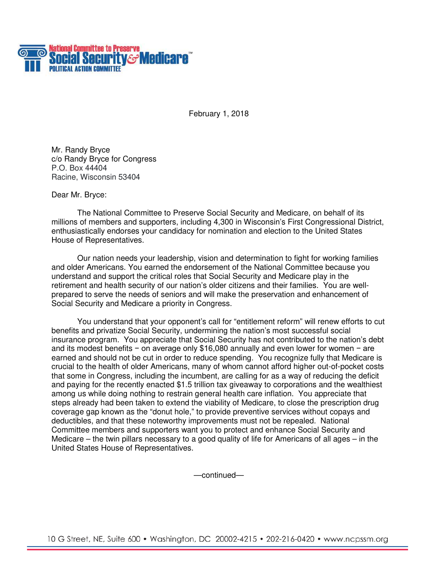

February 1, 2018

Mr. Randy Bryce c/o Randy Bryce for Congress P.O. Box 44404 Racine, Wisconsin 53404

Dear Mr. Bryce:

The National Committee to Preserve Social Security and Medicare, on behalf of its millions of members and supporters, including 4,300 in Wisconsin's First Congressional District, enthusiastically endorses your candidacy for nomination and election to the United States House of Representatives.

Our nation needs your leadership, vision and determination to fight for working families and older Americans. You earned the endorsement of the National Committee because you understand and support the critical roles that Social Security and Medicare play in the retirement and health security of our nation's older citizens and their families. You are wellprepared to serve the needs of seniors and will make the preservation and enhancement of Social Security and Medicare a priority in Congress.

You understand that your opponent's call for "entitlement reform" will renew efforts to cut benefits and privatize Social Security, undermining the nation's most successful social insurance program. You appreciate that Social Security has not contributed to the nation's debt and its modest benefits − on average only \$16,080 annually and even lower for women − are earned and should not be cut in order to reduce spending. You recognize fully that Medicare is crucial to the health of older Americans, many of whom cannot afford higher out-of-pocket costs that some in Congress, including the incumbent, are calling for as a way of reducing the deficit and paying for the recently enacted \$1.5 trillion tax giveaway to corporations and the wealthiest among us while doing nothing to restrain general health care inflation. You appreciate that steps already had been taken to extend the viability of Medicare, to close the prescription drug coverage gap known as the "donut hole," to provide preventive services without copays and deductibles, and that these noteworthy improvements must not be repealed. National Committee members and supporters want you to protect and enhance Social Security and Medicare – the twin pillars necessary to a good quality of life for Americans of all ages – in the United States House of Representatives.

—continued—